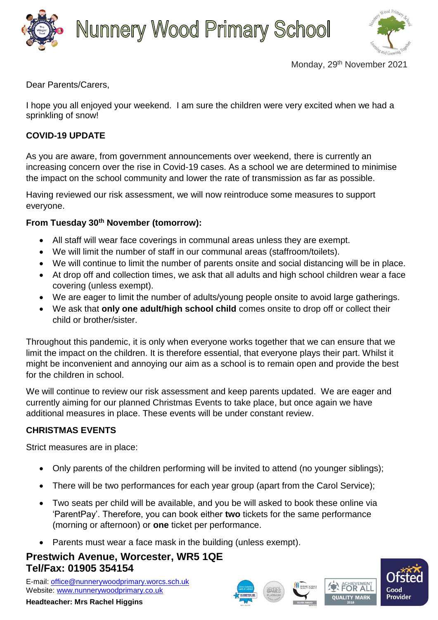



Monday, 29<sup>th</sup> November 2021

Dear Parents/Carers,

I hope you all enjoyed your weekend. I am sure the children were very excited when we had a sprinkling of snow!

## **COVID-19 UPDATE**

As you are aware, from government announcements over weekend, there is currently an increasing concern over the rise in Covid-19 cases. As a school we are determined to minimise the impact on the school community and lower the rate of transmission as far as possible.

Having reviewed our risk assessment, we will now reintroduce some measures to support everyone.

### **From Tuesday 30th November (tomorrow):**

- All staff will wear face coverings in communal areas unless they are exempt.
- We will limit the number of staff in our communal areas (staffroom/toilets).
- We will continue to limit the number of parents onsite and social distancing will be in place.
- At drop off and collection times, we ask that all adults and high school children wear a face covering (unless exempt).
- We are eager to limit the number of adults/young people onsite to avoid large gatherings.
- We ask that **only one adult/high school child** comes onsite to drop off or collect their child or brother/sister.

Throughout this pandemic, it is only when everyone works together that we can ensure that we limit the impact on the children. It is therefore essential, that everyone plays their part. Whilst it might be inconvenient and annoying our aim as a school is to remain open and provide the best for the children in school.

We will continue to review our risk assessment and keep parents updated. We are eager and currently aiming for our planned Christmas Events to take place, but once again we have additional measures in place. These events will be under constant review.

### **CHRISTMAS EVENTS**

Strict measures are in place:

- Only parents of the children performing will be invited to attend (no younger siblings);
- There will be two performances for each year group (apart from the Carol Service);
- Two seats per child will be available, and you be will asked to book these online via 'ParentPay'. Therefore, you can book either **two** tickets for the same performance (morning or afternoon) or **one** ticket per performance.
- Parents must wear a face mask in the building (unless exempt).

# **Prestwich Avenue, Worcester, WR5 1QE Tel/Fax: 01905 354154**

E-mail: [office@nunnerywoodprimary.worcs.sch.uk](mailto:office@nunnerywoodprimary.worcs.sch.uk) Website: [www.nunnerywoodprimary.co.uk](http://www.nunnerywoodprimary.worcs.sch.uk/)